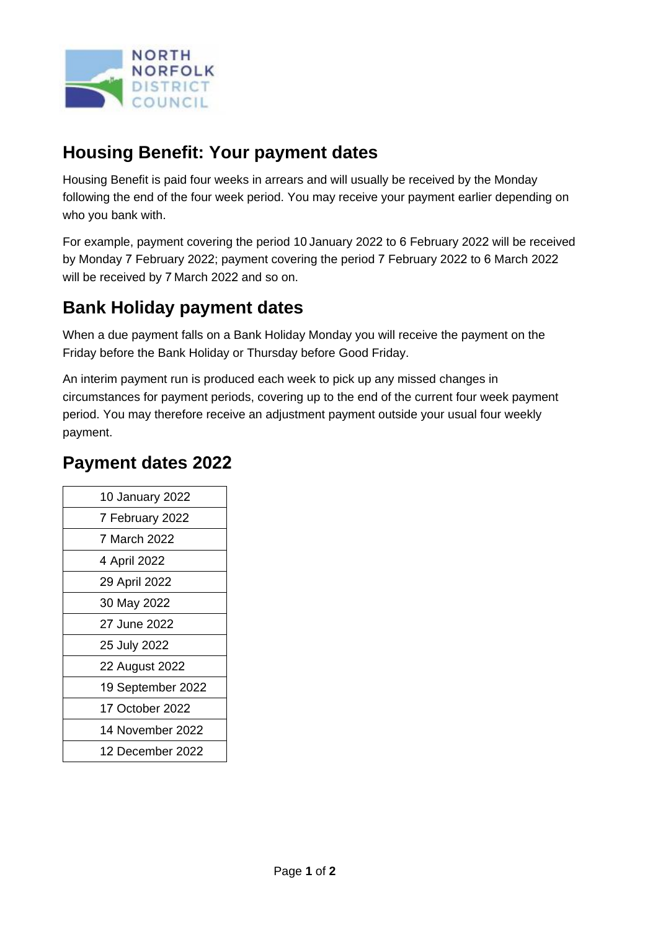

### **Housing Benefit: Your payment dates**

Housing Benefit is paid four weeks in arrears and will usually be received by the Monday following the end of the four week period. You may receive your payment earlier depending on who you bank with.

For example, payment covering the period 10 January 2022 to 6 February 2022 will be received by Monday 7 February 2022; payment covering the period 7 February 2022 to 6 March 2022 will be received by 7 March 2022 and so on.

## **Bank Holiday payment dates**

When a due payment falls on a Bank Holiday Monday you will receive the payment on the Friday before the Bank Holiday or Thursday before Good Friday.

An interim payment run is produced each week to pick up any missed changes in circumstances for payment periods, covering up to the end of the current four week payment period. You may therefore receive an adjustment payment outside your usual four weekly payment.

#### **Payment dates 2022**

| 10 January 2022   |
|-------------------|
| 7 February 2022   |
| 7 March 2022      |
| 4 April 2022      |
| 29 April 2022     |
| 30 May 2022       |
| 27 June 2022      |
| 25 July 2022      |
| 22 August 2022    |
| 19 September 2022 |
| 17 October 2022   |
| 14 November 2022  |
| 12 December 2022  |